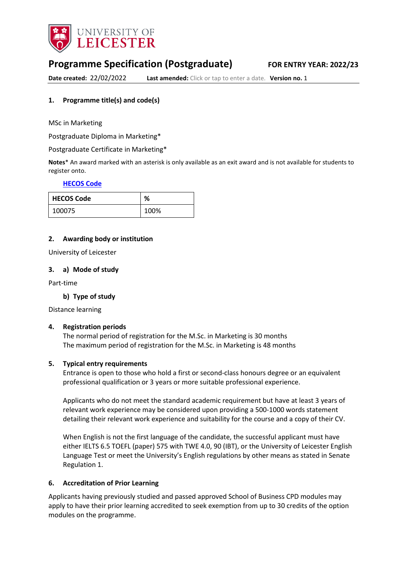

# **Programme Specification (Postgraduate) FOR ENTRY YEAR: 2022/23**

**Date created:** 22/02/2022 **Last amended:** Click or tap to enter a date. **Version no.** 1

### <span id="page-0-0"></span>**1. Programme title(s) and code(s)**

MSc in Marketing

Postgraduate Diploma in Marketing\*

Postgraduate Certificate in Marketing\*

**Notes**\* An award marked with an asterisk is only available as an exit award and is not available for students to register onto.

#### **[HECOS Code](https://www.hesa.ac.uk/innovation/hecos)**

| <b>HECOS Code</b> | %    |
|-------------------|------|
| 100075            | 100% |

### **2. Awarding body or institution**

University of Leicester

#### **3. a) Mode of study**

Part-time

### **b) Type of study**

Distance learning

### **4. Registration periods**

The normal period of registration for the M.Sc. in Marketing is 30 months The maximum period of registration for the M.Sc. in Marketing is 48 months

### **5. Typical entry requirements**

Entrance is open to those who hold a first or second-class honours degree or an equivalent professional qualification or 3 years or more suitable professional experience.

Applicants who do not meet the standard academic requirement but have at least 3 years of relevant work experience may be considered upon providing a 500-1000 words statement detailing their relevant work experience and suitability for the course and a copy of their CV.

When English is not the first language of the candidate, the successful applicant must have either IELTS 6.5 TOEFL (paper) 575 with TWE 4.0, 90 (IBT), or the University of Leicester English Language Test or meet the University's English regulations by other means as stated in Senate Regulation 1.

### **6. Accreditation of Prior Learning**

Applicants having previously studied and passed approved School of Business CPD modules may apply to have their prior learning accredited to seek exemption from up to 30 credits of the option modules on the programme.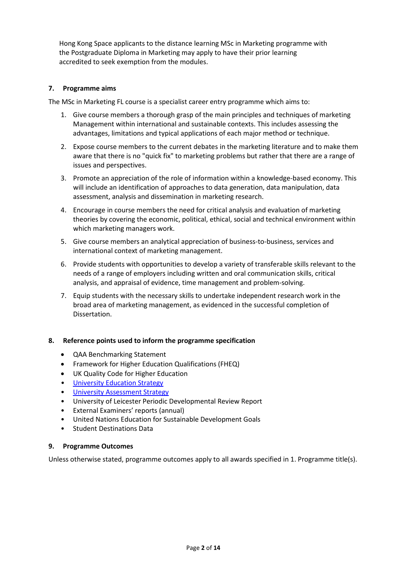Hong Kong Space applicants to the distance learning MSc in Marketing programme with the Postgraduate Diploma in Marketing may apply to have their prior learning accredited to seek exemption from the modules.

### **7. Programme aims**

The MSc in Marketing FL course is a specialist career entry programme which aims to:

- 1. Give course members a thorough grasp of the main principles and techniques of marketing Management within international and sustainable contexts. This includes assessing the advantages, limitations and typical applications of each major method or technique.
- 2. Expose course members to the current debates in the marketing literature and to make them aware that there is no "quick fix" to marketing problems but rather that there are a range of issues and perspectives.
- 3. Promote an appreciation of the role of information within a knowledge-based economy. This will include an identification of approaches to data generation, data manipulation, data assessment, analysis and dissemination in marketing research.
- 4. Encourage in course members the need for critical analysis and evaluation of marketing theories by covering the economic, political, ethical, social and technical environment within which marketing managers work.
- 5. Give course members an analytical appreciation of business-to-business, services and international context of marketing management.
- 6. Provide students with opportunities to develop a variety of transferable skills relevant to the needs of a range of employers including written and oral communication skills, critical analysis, and appraisal of evidence, time management and problem-solving.
- 7. Equip students with the necessary skills to undertake independent research work in the broad area of marketing management, as evidenced in the successful completion of Dissertation.

### **8. Reference points used to inform the programme specification**

- QAA Benchmarking Statement
- Framework for Higher Education Qualifications (FHEQ)
- UK Quality Code for Higher Education
- [University Education Strategy](https://uniofleicester.sharepoint.com/sites/staff/strategy/the-strategic-plan/SitePages/Research-inspired-Education.aspx?OR=Teams-HL&CT=1645542020275&sourceId=¶ms=%7B%22AppName%22%3A%22Teams-Desktop%22%2C%22AppVersion%22%3A%2227%2F22010300409%22%7D)
- [University Assessment Strategy](https://www2.le.ac.uk/offices/sas2/quality/learnteach)
- University of Leicester Periodic Developmental Review Report
- External Examiners' reports (annual)
- United Nations Education for Sustainable Development Goals
- Student Destinations Data

### **9. Programme Outcomes**

Unless otherwise stated, programme outcomes apply to all awards specified in [1.](#page-0-0) Programme title(s).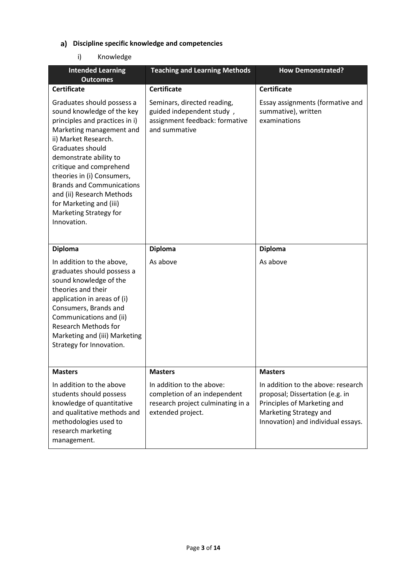## **Discipline specific knowledge and competencies**

## i) Knowledge

| <b>Intended Learning</b><br><b>Outcomes</b>                                                                                                                                                                                                                                                                                                                                                | <b>Teaching and Learning Methods</b>                                                                                | <b>How Demonstrated?</b>                                                                                                                                             |
|--------------------------------------------------------------------------------------------------------------------------------------------------------------------------------------------------------------------------------------------------------------------------------------------------------------------------------------------------------------------------------------------|---------------------------------------------------------------------------------------------------------------------|----------------------------------------------------------------------------------------------------------------------------------------------------------------------|
| <b>Certificate</b>                                                                                                                                                                                                                                                                                                                                                                         | <b>Certificate</b>                                                                                                  | <b>Certificate</b>                                                                                                                                                   |
| Graduates should possess a<br>sound knowledge of the key<br>principles and practices in i)<br>Marketing management and<br>ii) Market Research.<br>Graduates should<br>demonstrate ability to<br>critique and comprehend<br>theories in (i) Consumers,<br><b>Brands and Communications</b><br>and (ii) Research Methods<br>for Marketing and (iii)<br>Marketing Strategy for<br>Innovation. | Seminars, directed reading,<br>guided independent study,<br>assignment feedback: formative<br>and summative         | Essay assignments (formative and<br>summative), written<br>examinations                                                                                              |
| <b>Diploma</b>                                                                                                                                                                                                                                                                                                                                                                             | <b>Diploma</b>                                                                                                      | <b>Diploma</b>                                                                                                                                                       |
| In addition to the above,<br>graduates should possess a<br>sound knowledge of the<br>theories and their<br>application in areas of (i)<br>Consumers, Brands and<br>Communications and (ii)<br><b>Research Methods for</b><br>Marketing and (iii) Marketing<br>Strategy for Innovation.                                                                                                     | As above                                                                                                            | As above                                                                                                                                                             |
| <b>Masters</b>                                                                                                                                                                                                                                                                                                                                                                             | <b>Masters</b>                                                                                                      | <b>Masters</b>                                                                                                                                                       |
| In addition to the above<br>students should possess<br>knowledge of quantitative<br>and qualitative methods and<br>methodologies used to<br>research marketing<br>management.                                                                                                                                                                                                              | In addition to the above:<br>completion of an independent<br>research project culminating in a<br>extended project. | In addition to the above: research<br>proposal; Dissertation (e.g. in<br>Principles of Marketing and<br>Marketing Strategy and<br>Innovation) and individual essays. |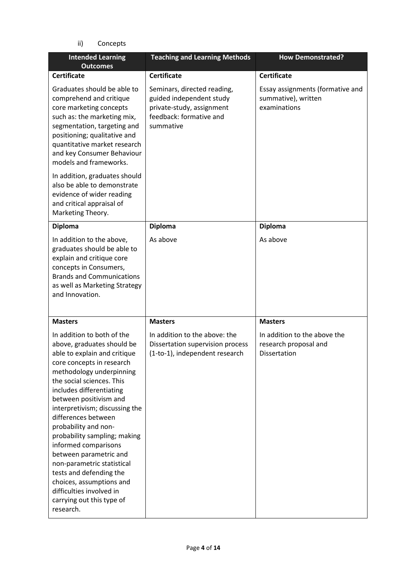ii) Concepts

| <b>Intended Learning</b><br><b>Outcomes</b>                                                                                                                                                                                                                                                                                                                                                                                                                                                                                                                        | <b>Teaching and Learning Methods</b>                                                                                         | <b>How Demonstrated?</b>                                                |
|--------------------------------------------------------------------------------------------------------------------------------------------------------------------------------------------------------------------------------------------------------------------------------------------------------------------------------------------------------------------------------------------------------------------------------------------------------------------------------------------------------------------------------------------------------------------|------------------------------------------------------------------------------------------------------------------------------|-------------------------------------------------------------------------|
| <b>Certificate</b>                                                                                                                                                                                                                                                                                                                                                                                                                                                                                                                                                 | <b>Certificate</b>                                                                                                           | <b>Certificate</b>                                                      |
| Graduates should be able to<br>comprehend and critique<br>core marketing concepts<br>such as: the marketing mix,<br>segmentation, targeting and<br>positioning; qualitative and<br>quantitative market research<br>and key Consumer Behaviour<br>models and frameworks.                                                                                                                                                                                                                                                                                            | Seminars, directed reading,<br>guided independent study<br>private-study, assignment<br>feedback: formative and<br>summative | Essay assignments (formative and<br>summative), written<br>examinations |
| In addition, graduates should<br>also be able to demonstrate<br>evidence of wider reading<br>and critical appraisal of<br>Marketing Theory.                                                                                                                                                                                                                                                                                                                                                                                                                        |                                                                                                                              |                                                                         |
| <b>Diploma</b>                                                                                                                                                                                                                                                                                                                                                                                                                                                                                                                                                     | <b>Diploma</b>                                                                                                               | <b>Diploma</b>                                                          |
| In addition to the above,<br>graduates should be able to<br>explain and critique core<br>concepts in Consumers,<br><b>Brands and Communications</b><br>as well as Marketing Strategy<br>and Innovation.                                                                                                                                                                                                                                                                                                                                                            | As above                                                                                                                     | As above                                                                |
| <b>Masters</b>                                                                                                                                                                                                                                                                                                                                                                                                                                                                                                                                                     | <b>Masters</b>                                                                                                               | <b>Masters</b>                                                          |
| In addition to both of the<br>above, graduates should be<br>able to explain and critique<br>core concepts in research<br>methodology underpinning<br>the social sciences. This<br>includes differentiating<br>between positivism and<br>interpretivism; discussing the<br>differences between<br>probability and non-<br>probability sampling; making<br>informed comparisons<br>between parametric and<br>non-parametric statistical<br>tests and defending the<br>choices, assumptions and<br>difficulties involved in<br>carrying out this type of<br>research. | In addition to the above: the<br>Dissertation supervision process<br>(1-to-1), independent research                          | In addition to the above the<br>research proposal and<br>Dissertation   |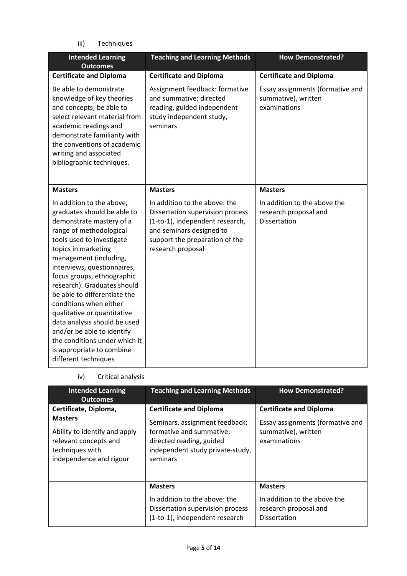iii) Techniques

| <b>Intended Learning</b><br><b>Outcomes</b>                                                                                                                                                                                                                                                                                                                                                                                                                                                                                            | <b>Teaching and Learning Methods</b>                                                                                                                                                    | <b>How Demonstrated?</b>                                                |
|----------------------------------------------------------------------------------------------------------------------------------------------------------------------------------------------------------------------------------------------------------------------------------------------------------------------------------------------------------------------------------------------------------------------------------------------------------------------------------------------------------------------------------------|-----------------------------------------------------------------------------------------------------------------------------------------------------------------------------------------|-------------------------------------------------------------------------|
| <b>Certificate and Diploma</b>                                                                                                                                                                                                                                                                                                                                                                                                                                                                                                         | <b>Certificate and Diploma</b>                                                                                                                                                          | <b>Certificate and Diploma</b>                                          |
| Be able to demonstrate<br>knowledge of key theories<br>and concepts; be able to<br>select relevant material from<br>academic readings and<br>demonstrate familiarity with<br>the conventions of academic<br>writing and associated<br>bibliographic techniques.                                                                                                                                                                                                                                                                        | Assignment feedback: formative<br>and summative; directed<br>reading, guided independent<br>study independent study,<br>seminars                                                        | Essay assignments (formative and<br>summative), written<br>examinations |
| <b>Masters</b>                                                                                                                                                                                                                                                                                                                                                                                                                                                                                                                         | <b>Masters</b>                                                                                                                                                                          | <b>Masters</b>                                                          |
| In addition to the above,<br>graduates should be able to<br>demonstrate mastery of a<br>range of methodological<br>tools used to investigate<br>topics in marketing<br>management (including,<br>interviews, questionnaires,<br>focus groups, ethnographic<br>research). Graduates should<br>be able to differentiate the<br>conditions when either<br>qualitative or quantitative<br>data analysis should be used<br>and/or be able to identify<br>the conditions under which it<br>is appropriate to combine<br>different techniques | In addition to the above: the<br>Dissertation supervision process<br>(1-to-1), independent research,<br>and seminars designed to<br>support the preparation of the<br>research proposal | In addition to the above the<br>research proposal and<br>Dissertation   |

iv) Critical analysis

| <b>Intended Learning</b><br><b>Outcomes</b>                                                                                                     | <b>Teaching and Learning Methods</b>                                                                                                                                     | <b>How Demonstrated?</b>                                                                                  |
|-------------------------------------------------------------------------------------------------------------------------------------------------|--------------------------------------------------------------------------------------------------------------------------------------------------------------------------|-----------------------------------------------------------------------------------------------------------|
| Certificate, Diploma,<br><b>Masters</b><br>Ability to identify and apply<br>relevant concepts and<br>techniques with<br>independence and rigour | <b>Certificate and Diploma</b><br>Seminars, assignment feedback:<br>formative and summative;<br>directed reading, guided<br>independent study private-study,<br>seminars | <b>Certificate and Diploma</b><br>Essay assignments (formative and<br>summative), written<br>examinations |
|                                                                                                                                                 | <b>Masters</b><br>In addition to the above: the<br>Dissertation supervision process<br>(1-to-1), independent research                                                    | <b>Masters</b><br>In addition to the above the<br>research proposal and<br><b>Dissertation</b>            |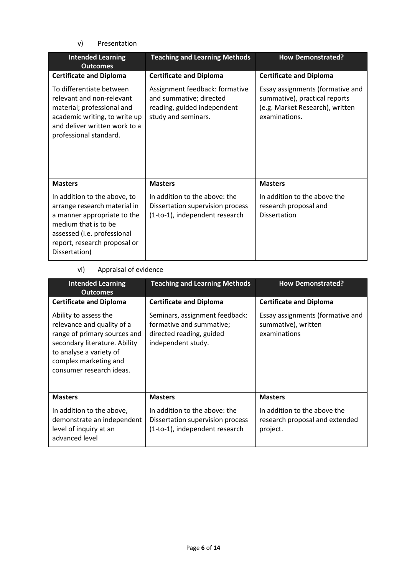v) Presentation

| <b>Intended Learning</b><br><b>Outcomes</b>                                                                                                                                                         | <b>Teaching and Learning Methods</b>                                                                            | <b>How Demonstrated?</b>                                                                                              |
|-----------------------------------------------------------------------------------------------------------------------------------------------------------------------------------------------------|-----------------------------------------------------------------------------------------------------------------|-----------------------------------------------------------------------------------------------------------------------|
| <b>Certificate and Diploma</b>                                                                                                                                                                      | <b>Certificate and Diploma</b>                                                                                  | <b>Certificate and Diploma</b>                                                                                        |
| To differentiate between<br>relevant and non-relevant<br>material; professional and<br>academic writing, to write up<br>and deliver written work to a<br>professional standard.                     | Assignment feedback: formative<br>and summative; directed<br>reading, guided independent<br>study and seminars. | Essay assignments (formative and<br>summative), practical reports<br>(e.g. Market Research), written<br>examinations. |
| <b>Masters</b>                                                                                                                                                                                      | <b>Masters</b>                                                                                                  | <b>Masters</b>                                                                                                        |
| In addition to the above, to<br>arrange research material in<br>a manner appropriate to the<br>medium that is to be<br>assessed (i.e. professional<br>report, research proposal or<br>Dissertation) | In addition to the above: the<br>Dissertation supervision process<br>(1-to-1), independent research             | In addition to the above the<br>research proposal and<br>Dissertation                                                 |

## vi) Appraisal of evidence

| <b>Intended Learning</b><br><b>Outcomes</b>                                                                                                                                                          | <b>Teaching and Learning Methods</b>                                                                         | <b>How Demonstrated?</b>                                                   |
|------------------------------------------------------------------------------------------------------------------------------------------------------------------------------------------------------|--------------------------------------------------------------------------------------------------------------|----------------------------------------------------------------------------|
| <b>Certificate and Diploma</b>                                                                                                                                                                       | <b>Certificate and Diploma</b>                                                                               | <b>Certificate and Diploma</b>                                             |
| Ability to assess the<br>relevance and quality of a<br>range of primary sources and<br>secondary literature. Ability<br>to analyse a variety of<br>complex marketing and<br>consumer research ideas. | Seminars, assignment feedback:<br>formative and summative;<br>directed reading, guided<br>independent study. | Essay assignments (formative and<br>summative), written<br>examinations    |
| <b>Masters</b>                                                                                                                                                                                       | <b>Masters</b>                                                                                               | <b>Masters</b>                                                             |
| In addition to the above,<br>demonstrate an independent<br>level of inquiry at an<br>advanced level                                                                                                  | In addition to the above: the<br>Dissertation supervision process<br>(1-to-1), independent research          | In addition to the above the<br>research proposal and extended<br>project. |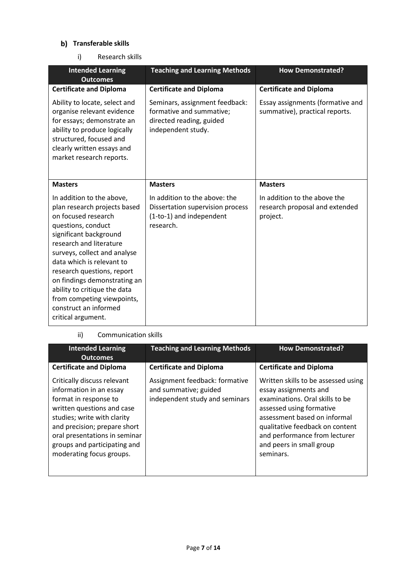## **b)** Transferable skills

i) Research skills

| <b>Intended Learning</b><br><b>Outcomes</b>                                                                                                                                                                                                                                                                                                                                                         | <b>Teaching and Learning Methods</b>                                                                         | <b>How Demonstrated?</b>                                                   |
|-----------------------------------------------------------------------------------------------------------------------------------------------------------------------------------------------------------------------------------------------------------------------------------------------------------------------------------------------------------------------------------------------------|--------------------------------------------------------------------------------------------------------------|----------------------------------------------------------------------------|
| <b>Certificate and Diploma</b>                                                                                                                                                                                                                                                                                                                                                                      | <b>Certificate and Diploma</b>                                                                               | <b>Certificate and Diploma</b>                                             |
| Ability to locate, select and<br>organise relevant evidence<br>for essays; demonstrate an<br>ability to produce logically<br>structured, focused and<br>clearly written essays and<br>market research reports.                                                                                                                                                                                      | Seminars, assignment feedback:<br>formative and summative;<br>directed reading, guided<br>independent study. | Essay assignments (formative and<br>summative), practical reports.         |
| <b>Masters</b>                                                                                                                                                                                                                                                                                                                                                                                      | <b>Masters</b>                                                                                               | <b>Masters</b>                                                             |
| In addition to the above,<br>plan research projects based<br>on focused research<br>questions, conduct<br>significant background<br>research and literature<br>surveys, collect and analyse<br>data which is relevant to<br>research questions, report<br>on findings demonstrating an<br>ability to critique the data<br>from competing viewpoints,<br>construct an informed<br>critical argument. | In addition to the above: the<br>Dissertation supervision process<br>(1-to-1) and independent<br>research.   | In addition to the above the<br>research proposal and extended<br>project. |

### ii) Communication skills

| <b>Intended Learning</b><br><b>Outcomes</b>                                                                                                                                                                                                                               | <b>Teaching and Learning Methods</b>                                                      | <b>How Demonstrated?</b>                                                                                                                                                                                                                                                 |
|---------------------------------------------------------------------------------------------------------------------------------------------------------------------------------------------------------------------------------------------------------------------------|-------------------------------------------------------------------------------------------|--------------------------------------------------------------------------------------------------------------------------------------------------------------------------------------------------------------------------------------------------------------------------|
| <b>Certificate and Diploma</b>                                                                                                                                                                                                                                            | <b>Certificate and Diploma</b>                                                            | <b>Certificate and Diploma</b>                                                                                                                                                                                                                                           |
| Critically discuss relevant<br>information in an essay<br>format in response to<br>written questions and case<br>studies; write with clarity<br>and precision; prepare short<br>oral presentations in seminar<br>groups and participating and<br>moderating focus groups. | Assignment feedback: formative<br>and summative; guided<br>independent study and seminars | Written skills to be assessed using<br>essay assignments and<br>examinations. Oral skills to be<br>assessed using formative<br>assessment based on informal<br>qualitative feedback on content<br>and performance from lecturer<br>and peers in small group<br>seminars. |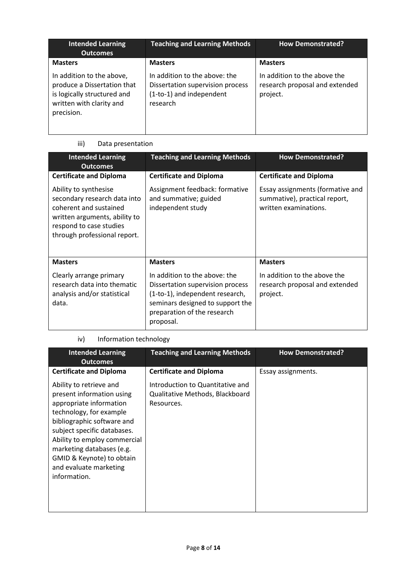| <b>Intended Learning</b><br><b>Outcomes</b>                                                                                       | <b>Teaching and Learning Methods</b>                                                                      | <b>How Demonstrated?</b>                                                   |
|-----------------------------------------------------------------------------------------------------------------------------------|-----------------------------------------------------------------------------------------------------------|----------------------------------------------------------------------------|
| <b>Masters</b>                                                                                                                    | <b>Masters</b>                                                                                            | <b>Masters</b>                                                             |
| In addition to the above,<br>produce a Dissertation that<br>is logically structured and<br>written with clarity and<br>precision. | In addition to the above: the<br>Dissertation supervision process<br>(1-to-1) and independent<br>research | In addition to the above the<br>research proposal and extended<br>project. |

## iii) Data presentation

| <b>Intended Learning</b><br><b>Outcomes</b>                                                                                                                                 | <b>Teaching and Learning Methods</b>                                                                                                                                                 | <b>How Demonstrated?</b>                                                                   |
|-----------------------------------------------------------------------------------------------------------------------------------------------------------------------------|--------------------------------------------------------------------------------------------------------------------------------------------------------------------------------------|--------------------------------------------------------------------------------------------|
| <b>Certificate and Diploma</b>                                                                                                                                              | <b>Certificate and Diploma</b>                                                                                                                                                       | <b>Certificate and Diploma</b>                                                             |
| Ability to synthesise<br>secondary research data into<br>coherent and sustained<br>written arguments, ability to<br>respond to case studies<br>through professional report. | Assignment feedback: formative<br>and summative; guided<br>independent study                                                                                                         | Essay assignments (formative and<br>summative), practical report,<br>written examinations. |
| <b>Masters</b>                                                                                                                                                              | <b>Masters</b>                                                                                                                                                                       | <b>Masters</b>                                                                             |
| Clearly arrange primary<br>research data into thematic<br>analysis and/or statistical<br>data.                                                                              | In addition to the above: the<br>Dissertation supervision process<br>(1-to-1), independent research,<br>seminars designed to support the<br>preparation of the research<br>proposal. | In addition to the above the<br>research proposal and extended<br>project.                 |

## iv) Information technology

| <b>Intended Learning</b><br><b>Outcomes</b>                                                                                                                                                                                                                                                                 | <b>Teaching and Learning Methods</b>                                              | <b>How Demonstrated?</b> |
|-------------------------------------------------------------------------------------------------------------------------------------------------------------------------------------------------------------------------------------------------------------------------------------------------------------|-----------------------------------------------------------------------------------|--------------------------|
| <b>Certificate and Diploma</b>                                                                                                                                                                                                                                                                              | <b>Certificate and Diploma</b>                                                    | Essay assignments.       |
| Ability to retrieve and<br>present information using<br>appropriate information<br>technology, for example<br>bibliographic software and<br>subject specific databases.<br>Ability to employ commercial<br>marketing databases (e.g.<br>GMID & Keynote) to obtain<br>and evaluate marketing<br>information. | Introduction to Quantitative and<br>Qualitative Methods, Blackboard<br>Resources. |                          |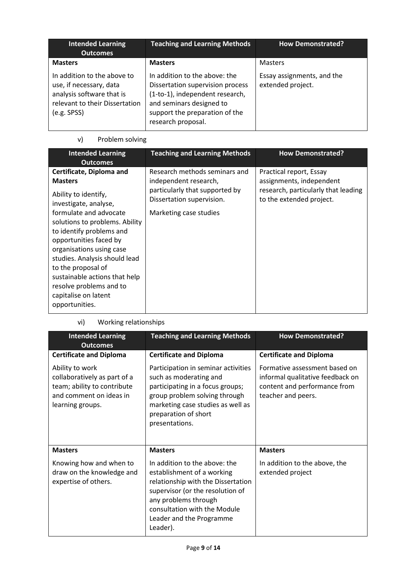| <b>Intended Learning</b><br><b>Outcomes</b>                                                                                          | <b>Teaching and Learning Methods</b>                                                                                                                                                     | <b>How Demonstrated?</b>                        |
|--------------------------------------------------------------------------------------------------------------------------------------|------------------------------------------------------------------------------------------------------------------------------------------------------------------------------------------|-------------------------------------------------|
| <b>Masters</b>                                                                                                                       | <b>Masters</b>                                                                                                                                                                           | <b>Masters</b>                                  |
| In addition to the above to<br>use, if necessary, data<br>analysis software that is<br>relevant to their Dissertation<br>(e.g. SPSS) | In addition to the above: the<br>Dissertation supervision process<br>(1-to-1), independent research,<br>and seminars designed to<br>support the preparation of the<br>research proposal. | Essay assignments, and the<br>extended project. |

## v) Problem solving

| <b>Intended Learning</b><br><b>Outcomes</b>                                                                                                                                                                                                                                                                                                                                                            | <b>Teaching and Learning Methods</b>                                                                                                            | <b>How Demonstrated?</b>                                                                                               |
|--------------------------------------------------------------------------------------------------------------------------------------------------------------------------------------------------------------------------------------------------------------------------------------------------------------------------------------------------------------------------------------------------------|-------------------------------------------------------------------------------------------------------------------------------------------------|------------------------------------------------------------------------------------------------------------------------|
| Certificate, Diploma and<br><b>Masters</b><br>Ability to identify,<br>investigate, analyse,<br>formulate and advocate<br>solutions to problems. Ability<br>to identify problems and<br>opportunities faced by<br>organisations using case<br>studies. Analysis should lead<br>to the proposal of<br>sustainable actions that help<br>resolve problems and to<br>capitalise on latent<br>opportunities. | Research methods seminars and<br>independent research,<br>particularly that supported by<br>Dissertation supervision.<br>Marketing case studies | Practical report, Essay<br>assignments, independent<br>research, particularly that leading<br>to the extended project. |

vi) Working relationships

| <b>Intended Learning</b><br><b>Outcomes</b>                                                                                   | <b>Teaching and Learning Methods</b>                                                                                                                                                                                                  | <b>How Demonstrated?</b>                                                                                                |  |
|-------------------------------------------------------------------------------------------------------------------------------|---------------------------------------------------------------------------------------------------------------------------------------------------------------------------------------------------------------------------------------|-------------------------------------------------------------------------------------------------------------------------|--|
| <b>Certificate and Diploma</b>                                                                                                | <b>Certificate and Diploma</b>                                                                                                                                                                                                        | <b>Certificate and Diploma</b>                                                                                          |  |
| Ability to work<br>collaboratively as part of a<br>team; ability to contribute<br>and comment on ideas in<br>learning groups. | Participation in seminar activities<br>such as moderating and<br>participating in a focus groups;<br>group problem solving through<br>marketing case studies as well as<br>preparation of short<br>presentations.                     | Formative assessment based on<br>informal qualitative feedback on<br>content and performance from<br>teacher and peers. |  |
| <b>Masters</b>                                                                                                                | <b>Masters</b>                                                                                                                                                                                                                        | <b>Masters</b>                                                                                                          |  |
| Knowing how and when to<br>draw on the knowledge and<br>expertise of others.                                                  | In addition to the above: the<br>establishment of a working<br>relationship with the Dissertation<br>supervisor (or the resolution of<br>any problems through<br>consultation with the Module<br>Leader and the Programme<br>Leader). | In addition to the above, the<br>extended project                                                                       |  |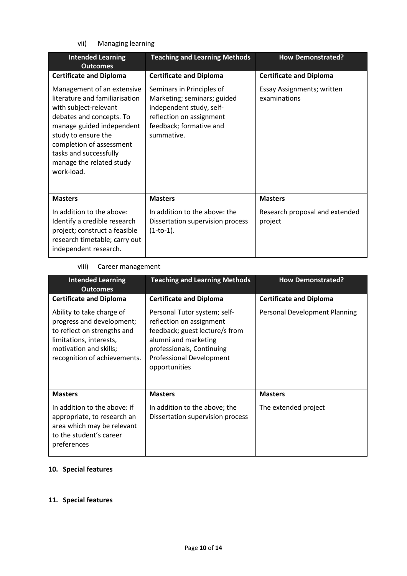vii) Managing learning

| <b>Intended Learning</b><br><b>Outcomes</b>                                                                                                                                                                                                                           | <b>Teaching and Learning Methods</b>                                                                                                                      | <b>How Demonstrated?</b>                   |  |
|-----------------------------------------------------------------------------------------------------------------------------------------------------------------------------------------------------------------------------------------------------------------------|-----------------------------------------------------------------------------------------------------------------------------------------------------------|--------------------------------------------|--|
| <b>Certificate and Diploma</b>                                                                                                                                                                                                                                        | <b>Certificate and Diploma</b>                                                                                                                            | <b>Certificate and Diploma</b>             |  |
| Management of an extensive<br>literature and familiarisation<br>with subject-relevant<br>debates and concepts. To<br>manage guided independent<br>study to ensure the<br>completion of assessment<br>tasks and successfully<br>manage the related study<br>work-load. | Seminars in Principles of<br>Marketing; seminars; guided<br>independent study, self-<br>reflection on assignment<br>feedback; formative and<br>summative. | Essay Assignments; written<br>examinations |  |
| <b>Masters</b>                                                                                                                                                                                                                                                        | <b>Masters</b>                                                                                                                                            | <b>Masters</b>                             |  |
| In addition to the above:<br>Identify a credible research<br>project; construct a feasible<br>research timetable; carry out<br>independent research.                                                                                                                  | In addition to the above: the<br>Dissertation supervision process<br>$(1-to-1).$                                                                          | Research proposal and extended<br>project  |  |

## viii) Career management

| <b>Intended Learning</b><br><b>Outcomes</b>                                                                                                                                | <b>Teaching and Learning Methods</b>                                                                                                                                                                | <b>How Demonstrated?</b>       |  |
|----------------------------------------------------------------------------------------------------------------------------------------------------------------------------|-----------------------------------------------------------------------------------------------------------------------------------------------------------------------------------------------------|--------------------------------|--|
| <b>Certificate and Diploma</b>                                                                                                                                             | <b>Certificate and Diploma</b>                                                                                                                                                                      | <b>Certificate and Diploma</b> |  |
| Ability to take charge of<br>progress and development;<br>to reflect on strengths and<br>limitations, interests,<br>motivation and skills;<br>recognition of achievements. | Personal Tutor system; self-<br>reflection on assignment<br>feedback; guest lecture/s from<br>alumni and marketing<br>professionals, Continuing<br><b>Professional Development</b><br>opportunities | Personal Development Planning  |  |
| <b>Masters</b>                                                                                                                                                             | <b>Masters</b>                                                                                                                                                                                      | <b>Masters</b>                 |  |
| In addition to the above: if<br>appropriate, to research an<br>area which may be relevant<br>to the student's career<br>preferences                                        | In addition to the above; the<br>Dissertation supervision process                                                                                                                                   | The extended project           |  |

### **10. Special features**

### **11. Special features**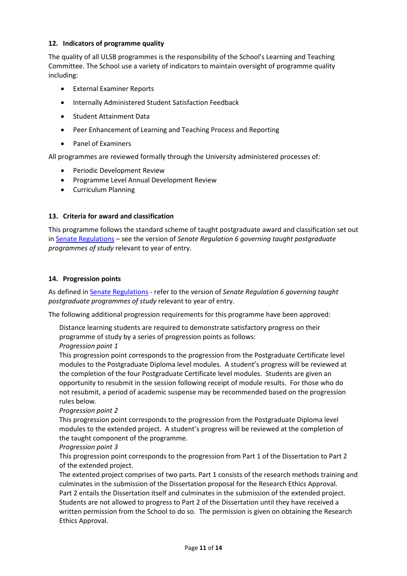### **12. Indicators of programme quality**

The quality of all ULSB programmes is the responsibility of the School's Learning and Teaching Committee. The School use a variety of indicators to maintain oversight of programme quality including:

- External Examiner Reports
- Internally Administered Student Satisfaction Feedback
- Student Attainment Data
- Peer Enhancement of Learning and Teaching Process and Reporting
- Panel of Examiners

All programmes are reviewed formally through the University administered processes of:

- Periodic Development Review
- Programme Level Annual Development Review
- Curriculum Planning

### **13. Criteria for award and classification**

This programme follows the standard scheme of taught postgraduate award and classification set out i[n Senate Regulations](http://www.le.ac.uk/senate-regulations) – see the version of *Senate Regulation 6 governing taught postgraduate programmes of study* relevant to year of entry.

#### **14. Progression points**

As defined i[n Senate Regulations](http://www.le.ac.uk/senate-regulation6) - refer to the version of *Senate Regulation 6 governing taught postgraduate programmes of study* relevant to year of entry.

The following additional progression requirements for this programme have been approved:

Distance learning students are required to demonstrate satisfactory progress on their programme of study by a series of progression points as follows: *Progression point 1*

This progression point corresponds to the progression from the Postgraduate Certificate level modules to the Postgraduate Diploma level modules. A student's progress will be reviewed at the completion of the four Postgraduate Certificate level modules. Students are given an opportunity to resubmit in the session following receipt of module results. For those who do not resubmit, a period of academic suspense may be recommended based on the progression rules below.

### *Progression point 2*

This progression point corresponds to the progression from the Postgraduate Diploma level modules to the extended project. A student's progress will be reviewed at the completion of the taught component of the programme.

### *Progression point 3*

This progression point corresponds to the progression from Part 1 of the Dissertation to Part 2 of the extended project.

The extented project comprises of two parts. Part 1 consists of the research methods training and culminates in the submission of the Dissertation proposal for the Research Ethics Approval. Part 2 entails the Dissertation itself and culminates in the submission of the extended project. Students are not allowed to progress to Part 2 of the Dissertation until they have received a written permission from the School to do so. The permission is given on obtaining the Research Ethics Approval.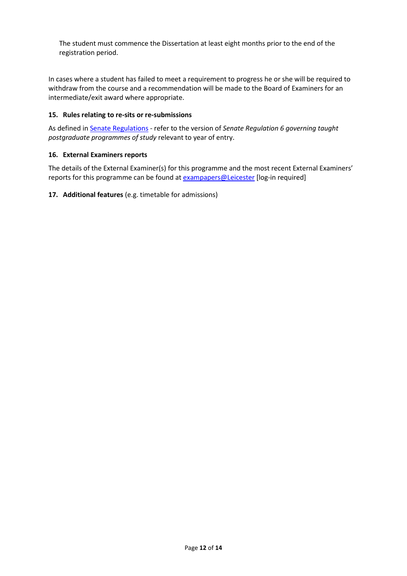The student must commence the Dissertation at least eight months prior to the end of the registration period.

In cases where a student has failed to meet a requirement to progress he or she will be required to withdraw from the course and a recommendation will be made to the Board of Examiners for an intermediate/exit award where appropriate.

### **15. Rules relating to re-sits or re-submissions**

As defined i[n Senate Regulations](http://www.le.ac.uk/senate-regulation6) - refer to the version of *Senate Regulation 6 governing taught postgraduate programmes of study* relevant to year of entry.

### **16. External Examiners reports**

The details of the External Examiner(s) for this programme and the most recent External Examiners' reports for this programme can be found at **exampapers@Leicester** [log-in required]

**17. Additional features** (e.g. timetable for admissions)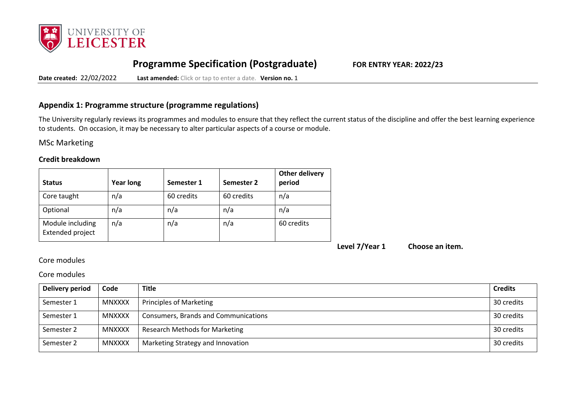

# **Programme Specification (Postgraduate) FOR ENTRY YEAR: 2022/23**

**Date created:** 22/02/2022 **Last amended:** Click or tap to enter a date. **Version no.** 1

### **Appendix 1: Programme structure (programme regulations)**

The University regularly reviews its programmes and modules to ensure that they reflect the current status of the discipline and offer the best learning experience to students. On occasion, it may be necessary to alter particular aspects of a course or module.

ΜSc Marketing

### **Credit breakdown**

| <b>Status</b>                        | <b>Year long</b> | Semester 1 | Semester 2 | <b>Other delivery</b><br>period |
|--------------------------------------|------------------|------------|------------|---------------------------------|
| Core taught                          | n/a              | 60 credits | 60 credits | n/a                             |
| Optional                             | n/a              | n/a        | n/a        | n/a                             |
| Module including<br>Extended project | n/a              | n/a        | n/a        | 60 credits                      |

**Level 7/Year 1 Choose an item.**

### Core modules

### Core modules

| Delivery period | Code          | <b>Title</b>                          | <b>Credits</b> |
|-----------------|---------------|---------------------------------------|----------------|
| Semester 1      | <b>MNXXXX</b> | Principles of Marketing               | 30 credits     |
| Semester 1      | <b>MNXXXX</b> | Consumers, Brands and Communications  | 30 credits     |
| Semester 2      | <b>MNXXXX</b> | <b>Research Methods for Marketing</b> | 30 credits     |
| Semester 2      | <b>MNXXXX</b> | Marketing Strategy and Innovation     | 30 credits     |